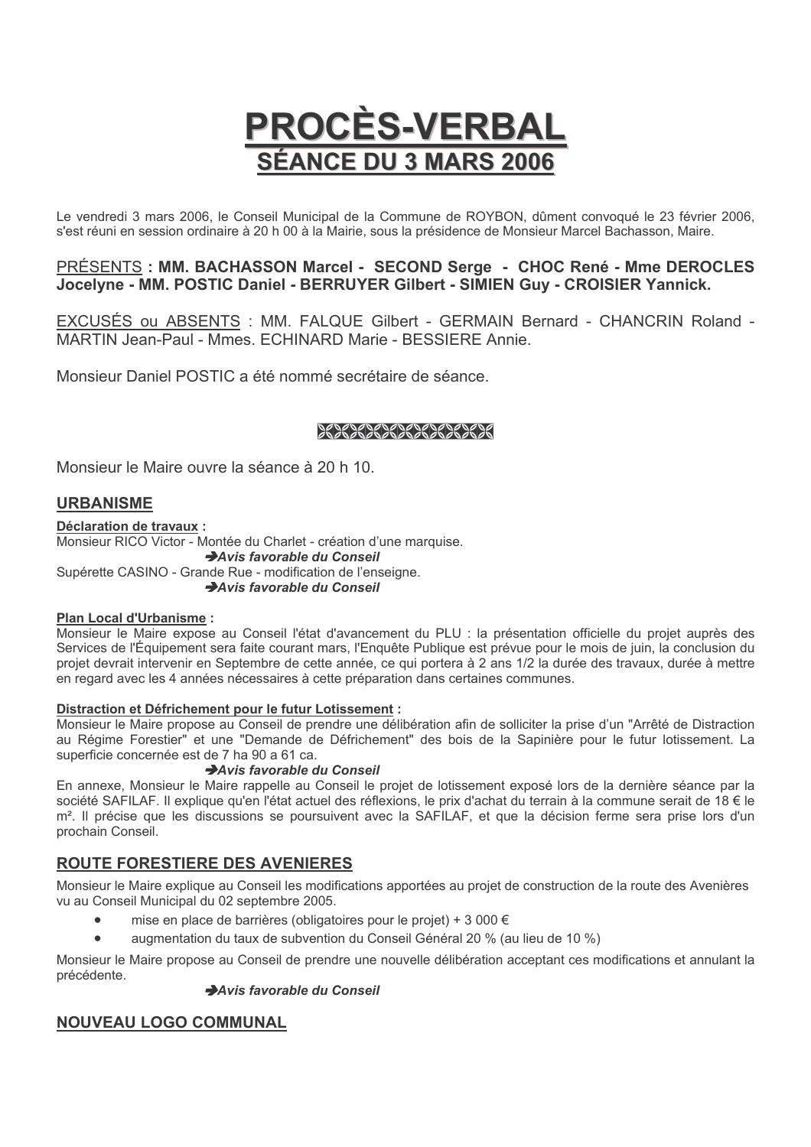# PROCES-VERBAL **SÉANCE DU 3 MARS 2006**

Le vendredi 3 mars 2006, le Conseil Municipal de la Commune de ROYBON, dûment convoqué le 23 février 2006, s'est réuni en session ordinaire à 20 h 00 à la Mairie, sous la présidence de Monsieur Marcel Bachasson, Maire.

# PRÉSENTS : MM. BACHASSON Marcel - SECOND Serge - CHOC René - Mme DEROCLES Jocelyne - MM. POSTIC Daniel - BERRUYER Gilbert - SIMIEN Guy - CROISIER Yannick.

EXCUSÉS ou ABSENTS : MM. FALQUE Gilbert - GERMAIN Bernard - CHANCRIN Roland -MARTIN Jean-Paul - Mmes. ECHINARD Marie - BESSIERE Annie.

Monsieur Daniel POSTIC a été nommé secrétaire de séance.

# 29292292292292292

Monsieur le Maire ouvre la séance à 20 h 10.

# **URBANISME**

Déclaration de travaux : Monsieur RICO Victor - Montée du Charlet - création d'une marquise. Avis favorable du Conseil Supérette CASINO - Grande Rue - modification de l'enseigne. Avis favorable du Conseil

# Plan Local d'Urbanisme :

Monsieur le Maire expose au Conseil l'état d'avancement du PLU : la présentation officielle du projet auprès des Services de l'Équipement sera faite courant mars, l'Enquête Publique est prévue pour le mois de juin, la conclusion du projet devrait intervenir en Septembre de cette année, ce qui portera à 2 ans 1/2 la durée des travaux, durée à mettre en regard avec les 4 années nécessaires à cette préparation dans certaines communes.

#### Distraction et Défrichement pour le futur Lotissement :

Monsieur le Maire propose au Conseil de prendre une délibération afin de solliciter la prise d'un "Arrêté de Distraction" au Régime Forestier" et une "Demande de Défrichement" des bois de la Sapinière pour le futur lotissement. La superficie concernée est de 7 ha 90 a 61 ca.

# Avis favorable du Conseil

En annexe, Monsieur le Maire rappelle au Conseil le projet de lotissement exposé lors de la dernière séance par la société SAFILAF. Il explique qu'en l'état actuel des réflexions, le prix d'achat du terrain à la commune serait de 18 € le m<sup>2</sup>. Il précise que les discussions se poursuivent avec la SAFILAF, et que la décision ferme sera prise lors d'un prochain Conseil.

# **ROUTE FORESTIERE DES AVENIERES**

Monsieur le Maire explique au Conseil les modifications apportées au projet de construction de la route des Avenières vu au Conseil Municipal du 02 septembre 2005.

- mise en place de barrières (obligatoires pour le proiet) + 3 000 €
- augmentation du taux de subvention du Conseil Général 20 % (au lieu de 10 %)

Monsieur le Maire propose au Conseil de prendre une nouvelle délibération acceptant ces modifications et annulant la précédente.

# Avis favorable du Conseil

# **NOUVEAU LOGO COMMUNAL**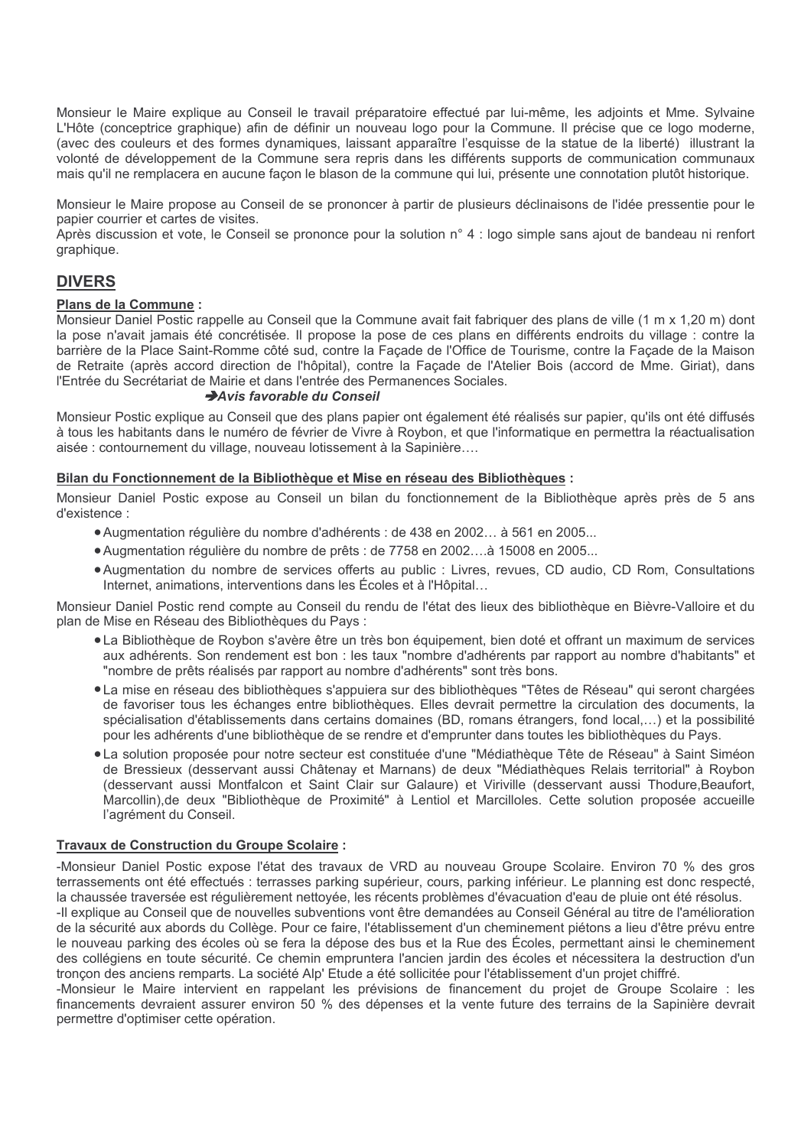Monsieur le Maire explique au Conseil le travail préparatoire effectué par lui-même, les adjoints et Mme. Sylvaine L'Hôte (conceptrice graphique) afin de définir un nouveau logo pour la Commune. Il précise que ce logo moderne, (avec des couleurs et des formes dynamiques, laissant apparaître l'esquisse de la statue de la liberté) illustrant la volonté de développement de la Commune sera repris dans les différents supports de communication communaux mais qu'il ne remplacera en aucune façon le blason de la commune qui lui, présente une connotation plutôt historique.

Monsieur le Maire propose au Conseil de se prononcer à partir de plusieurs déclinaisons de l'idée pressentie pour le papier courrier et cartes de visites.

Après discussion et vote, le Conseil se prononce pour la solution n° 4 : logo simple sans ajout de bandeau ni renfort graphique.

# **DIVERS**

#### Plans de la Commune :

Monsieur Daniel Postic rappelle au Conseil que la Commune avait fait fabriquer des plans de ville (1 m x 1,20 m) dont la pose n'avait jamais été concrétisée. Il propose la pose de ces plans en différents endroits du village : contre la barrière de la Place Saint-Romme côté sud, contre la Façade de l'Office de Tourisme, contre la Façade de la Maison de Retraite (après accord direction de l'hôpital), contre la Façade de l'Atelier Bois (accord de Mme. Giriat), dans l'Entrée du Secrétariat de Mairie et dans l'entrée des Permanences Sociales.

## Avis favorable du Conseil

Monsieur Postic explique au Conseil que des plans papier ont également été réalisés sur papier, qu'ils ont été diffusés à tous les habitants dans le numéro de février de Vivre à Roybon, et que l'informatique en permettra la réactualisation aisée : contournement du village, nouveau lotissement à la Sapinière....

## Bilan du Fonctionnement de la Bibliothèque et Mise en réseau des Bibliothèques :

Monsieur Daniel Postic expose au Conseil un bilan du fonctionnement de la Bibliothèque après près de 5 ans d'existence :

- Augmentation régulière du nombre d'adhérents : de 438 en 2002... à 561 en 2005...
- Augmentation régulière du nombre de prêts : de 7758 en 2002....à 15008 en 2005...
- Augmentation du nombre de services offerts au public : Livres, revues, CD audio, CD Rom, Consultations Internet, animations, interventions dans les Écoles et à l'Hôpital...

Monsieur Daniel Postic rend compte au Conseil du rendu de l'état des lieux des bibliothèque en Bièvre-Valloire et du plan de Mise en Réseau des Bibliothèques du Pays :

- La Bibliothèque de Roybon s'avère être un très bon équipement, bien doté et offrant un maximum de services aux adhérents. Son rendement est bon : les taux "nombre d'adhérents par rapport au nombre d'habitants" et "nombre de prêts réalisés par rapport au nombre d'adhérents" sont très bons.
- La mise en réseau des bibliothèques s'appuiera sur des bibliothèques "Têtes de Réseau" qui seront chargées de favoriser tous les échanges entre bibliothèques. Elles devrait permettre la circulation des documents, la spécialisation d'établissements dans certains domaines (BD, romans étrangers, fond local,...) et la possibilité pour les adhérents d'une bibliothèque de se rendre et d'emprunter dans toutes les bibliothèques du Pays.
- La solution proposée pour notre secteur est constituée d'une "Médiathèque Tête de Réseau" à Saint Siméon de Bressieux (desservant aussi Châtenay et Marnans) de deux "Médiathèques Relais territorial" à Roybon (desservant aussi Montfalcon et Saint Clair sur Galaure) et Viriville (desservant aussi Thodure, Beaufort, Marcollin), de deux "Bibliothèque de Proximité" à Lentiol et Marcilloles. Cette solution proposée accueille l'agrément du Conseil.

# Travaux de Construction du Groupe Scolaire :

-Monsieur Daniel Postic expose l'état des travaux de VRD au nouveau Groupe Scolaire. Environ 70 % des gros terrassements ont été effectués : terrasses parking supérieur, cours, parking inférieur. Le planning est donc respecté, la chaussée traversée est régulièrement nettoyée, les récents problèmes d'évacuation d'eau de pluie ont été résolus.

-Il explique au Conseil que de nouvelles subventions vont être demandées au Conseil Général au titre de l'amélioration de la sécurité aux abords du Collège. Pour ce faire, l'établissement d'un cheminement piétons a lieu d'être prévu entre le nouveau parking des écoles où se fera la dépose des bus et la Rue des Écoles, permettant ainsi le cheminement des collégiens en toute sécurité. Ce chemin empruntera l'ancien jardin des écoles et nécessitera la destruction d'un tronçon des anciens remparts. La société Alp' Etude a été sollicitée pour l'établissement d'un projet chiffré.

-Monsieur le Maire intervient en rappelant les prévisions de financement du projet de Groupe Scolaire : les financements devraient assurer environ 50 % des dépenses et la vente future des terrains de la Sapinière devrait permettre d'optimiser cette opération.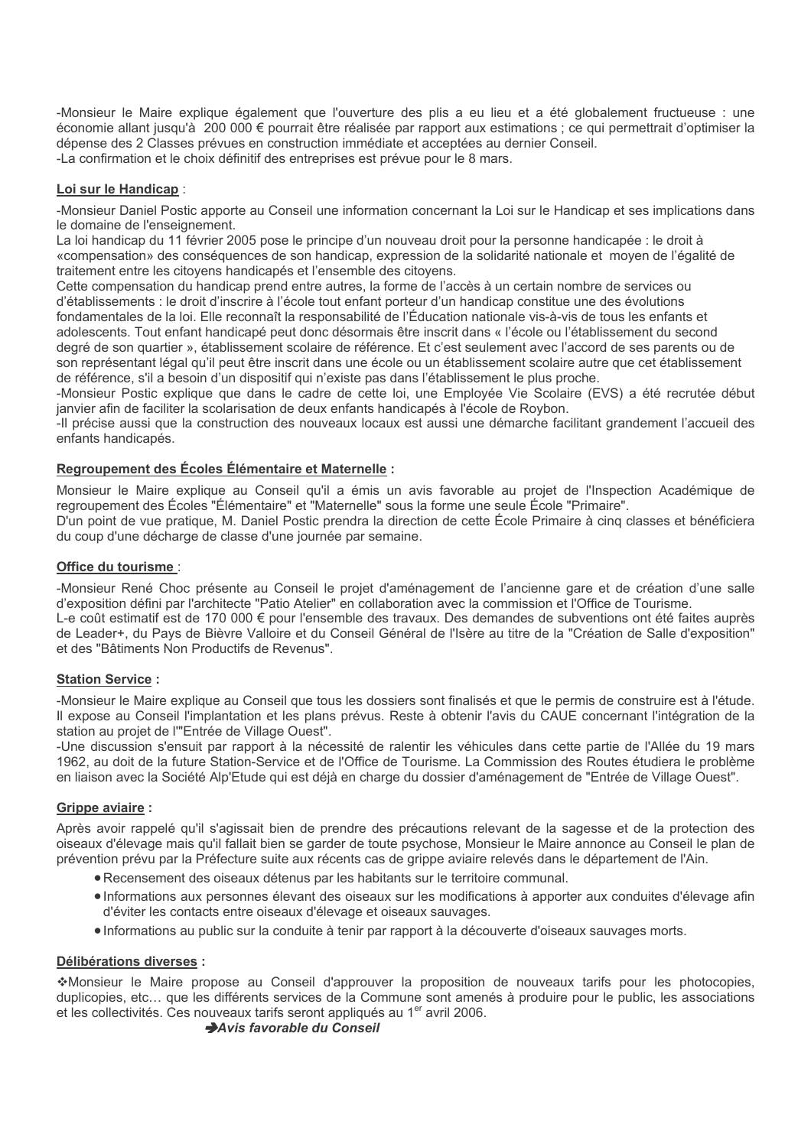-Monsieur le Maire explique également que l'ouverture des plis a eu lieu et a été globalement fructueuse : une économie allant jusqu'à 200 000 € pourrait être réalisée par rapport aux estimations ; ce qui permettrait d'optimiser la dépense des 2 Classes prévues en construction immédiate et acceptées au dernier Conseil. -La confirmation et le choix définitif des entreprises est prévue pour le 8 mars.

## Loi sur le Handicap :

-Monsieur Daniel Postic apporte au Conseil une information concernant la Loi sur le Handicap et ses implications dans le domaine de l'enseignement.

La loi handicap du 11 février 2005 pose le principe d'un nouveau droit pour la personne handicapée : le droit à «compensation» des conséquences de son handicap, expression de la solidarité nationale et moyen de l'égalité de traitement entre les citoyens handicapés et l'ensemble des citoyens.

Cette compensation du handicap prend entre autres, la forme de l'accès à un certain nombre de services ou d'établissements : le droit d'inscrire à l'école tout enfant porteur d'un handicap constitue une des évolutions fondamentales de la loi. Elle reconnaît la responsabilité de l'Éducation nationale vis-à-vis de tous les enfants et adolescents. Tout enfant handicapé peut donc désormais être inscrit dans « l'école ou l'établissement du second degré de son quartier », établissement scolaire de référence. Et c'est seulement avec l'accord de ses parents ou de son représentant légal qu'il peut être inscrit dans une école ou un établissement scolaire autre que cet établissement de référence, s'il a besoin d'un dispositif qui n'existe pas dans l'établissement le plus proche.

-Monsieur Postic explique que dans le cadre de cette loi, une Employée Vie Scolaire (EVS) a été recrutée début janvier afin de faciliter la scolarisation de deux enfants handicapés à l'école de Roybon.

-Il précise aussi que la construction des nouveaux locaux est aussi une démarche facilitant grandement l'accueil des enfants handicapés.

## Regroupement des Écoles Élémentaire et Maternelle :

Monsieur le Maire explique au Conseil qu'il a émis un avis favorable au projet de l'Inspection Académique de regroupement des Écoles "Élémentaire" et "Maternelle" sous la forme une seule École "Primaire". D'un point de vue pratique, M. Daniel Postic prendra la direction de cette École Primaire à cinq classes et bénéficiera du coup d'une décharge de classe d'une journée par semaine.

#### Office du tourisme :

-Monsieur René Choc présente au Conseil le projet d'aménagement de l'ancienne gare et de création d'une salle d'exposition défini par l'architecte "Patio Atelier" en collaboration avec la commission et l'Office de Tourisme.

L-e coût estimatif est de 170 000 € pour l'ensemble des travaux. Des demandes de subventions ont été faites auprès de Leader+, du Pays de Bièvre Valloire et du Conseil Général de l'Isère au titre de la "Création de Salle d'exposition" et des "Bâtiments Non Productifs de Revenus".

#### **Station Service:**

-Monsieur le Maire explique au Conseil que tous les dossiers sont finalisés et que le permis de construire est à l'étude. Il expose au Conseil l'implantation et les plans prévus. Reste à obtenir l'avis du CAUE concernant l'intégration de la station au projet de l'"Entrée de Village Ouest".

-Une discussion s'ensuit par rapport à la nécessité de ralentir les véhicules dans cette partie de l'Allée du 19 mars 1962, au doit de la future Station-Service et de l'Office de Tourisme. La Commission des Routes étudiera le problème en liaison avec la Société Alp'Etude qui est déià en charge du dossier d'aménagement de "Entrée de Village Quest".

## **Grippe aviaire:**

Après avoir rappelé qu'il s'agissait bien de prendre des précautions relevant de la sagesse et de la protection des oiseaux d'élevage mais qu'il fallait bien se garder de toute psychose. Monsieur le Maire annonce au Conseil le plan de prévention prévu par la Préfecture suite aux récents cas de grippe aviaire relevés dans le département de l'Ain.

- Recensement des oiseaux détenus par les habitants sur le territoire communal.
- · Informations aux personnes élevant des oiseaux sur les modifications à apporter aux conduites d'élevage afin d'éviter les contacts entre oiseaux d'élevage et oiseaux sauvages.
- Informations au public sur la conduite à tenir par rapport à la découverte d'oiseaux sauvages morts.

## Délibérations diverses :

\*Monsieur le Maire propose au Conseil d'approuver la proposition de nouveaux tarifs pour les photocopies, duplicopies, etc... que les différents services de la Commune sont amenés à produire pour le public, les associations et les collectivités. Ces nouveaux tarifs seront appliqués au 1<sup>er</sup> avril 2006.

#### Avis favorable du Conseil